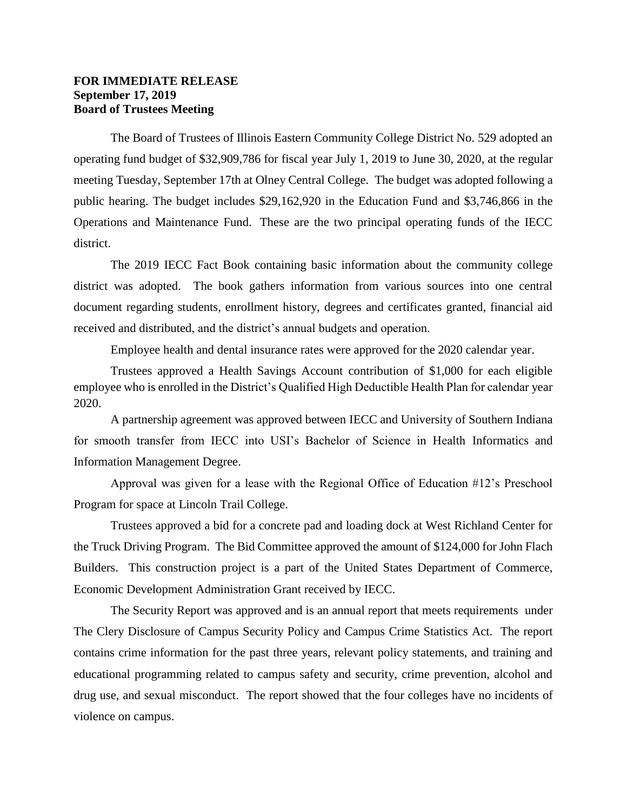## **FOR IMMEDIATE RELEASE September 17, 2019 Board of Trustees Meeting**

The Board of Trustees of Illinois Eastern Community College District No. 529 adopted an operating fund budget of \$32,909,786 for fiscal year July 1, 2019 to June 30, 2020, at the regular meeting Tuesday, September 17th at Olney Central College. The budget was adopted following a public hearing. The budget includes \$29,162,920 in the Education Fund and \$3,746,866 in the Operations and Maintenance Fund. These are the two principal operating funds of the IECC district.

The 2019 IECC Fact Book containing basic information about the community college district was adopted. The book gathers information from various sources into one central document regarding students, enrollment history, degrees and certificates granted, financial aid received and distributed, and the district's annual budgets and operation.

Employee health and dental insurance rates were approved for the 2020 calendar year.

Trustees approved a Health Savings Account contribution of \$1,000 for each eligible employee who is enrolled in the District's Qualified High Deductible Health Plan for calendar year 2020.

A partnership agreement was approved between IECC and University of Southern Indiana for smooth transfer from IECC into USI's Bachelor of Science in Health Informatics and Information Management Degree.

Approval was given for a lease with the Regional Office of Education #12's Preschool Program for space at Lincoln Trail College.

Trustees approved a bid for a concrete pad and loading dock at West Richland Center for the Truck Driving Program. The Bid Committee approved the amount of \$124,000 for John Flach Builders. This construction project is a part of the United States Department of Commerce, Economic Development Administration Grant received by IECC.

The Security Report was approved and is an annual report that meets requirements under The Clery Disclosure of Campus Security Policy and Campus Crime Statistics Act. The report contains crime information for the past three years, relevant policy statements, and training and educational programming related to campus safety and security, crime prevention, alcohol and drug use, and sexual misconduct. The report showed that the four colleges have no incidents of violence on campus.